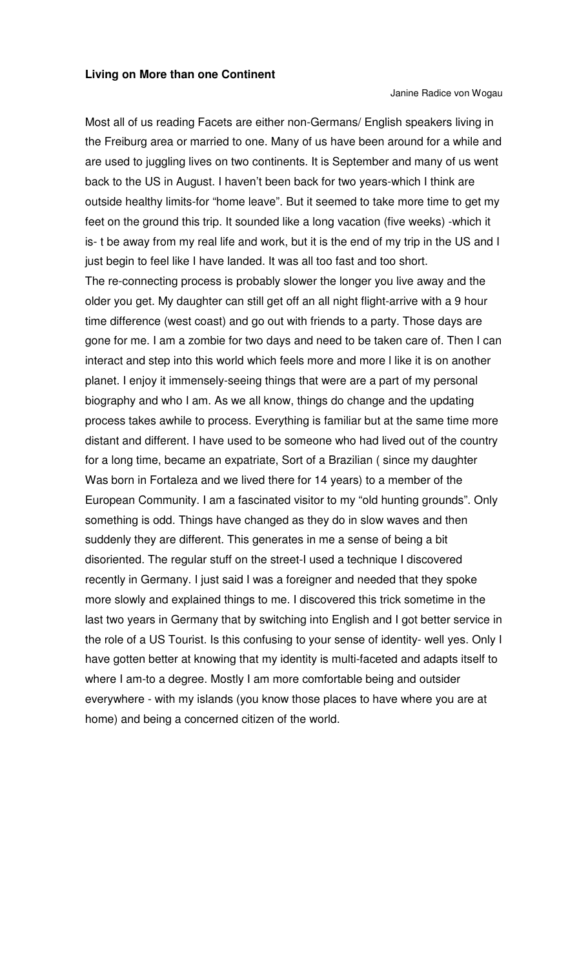Janine Radice von Wogau

Most all of us reading Facets are either non-Germans/ English speakers living in the Freiburg area or married to one. Many of us have been around for a while and are used to juggling lives on two continents. It is September and many of us went back to the US in August. I haven't been back for two years-which I think are outside healthy limits-for "home leave". But it seemed to take more time to get my feet on the ground this trip. It sounded like a long vacation (five weeks) -which it is- t be away from my real life and work, but it is the end of my trip in the US and I just begin to feel like I have landed. It was all too fast and too short. The re-connecting process is probably slower the longer you live away and the older you get. My daughter can still get off an all night flight-arrive with a 9 hour time difference (west coast) and go out with friends to a party. Those days are gone for me. I am a zombie for two days and need to be taken care of. Then I can interact and step into this world which feels more and more l like it is on another planet. I enjoy it immensely-seeing things that were are a part of my personal biography and who I am. As we all know, things do change and the updating process takes awhile to process. Everything is familiar but at the same time more distant and different. I have used to be someone who had lived out of the country for a long time, became an expatriate, Sort of a Brazilian ( since my daughter Was born in Fortaleza and we lived there for 14 years) to a member of the European Community. I am a fascinated visitor to my "old hunting grounds". Only something is odd. Things have changed as they do in slow waves and then suddenly they are different. This generates in me a sense of being a bit disoriented. The regular stuff on the street-I used a technique I discovered recently in Germany. I just said I was a foreigner and needed that they spoke more slowly and explained things to me. I discovered this trick sometime in the last two years in Germany that by switching into English and I got better service in the role of a US Tourist. Is this confusing to your sense of identity- well yes. Only I have gotten better at knowing that my identity is multi-faceted and adapts itself to where I am-to a degree. Mostly I am more comfortable being and outsider everywhere - with my islands (you know those places to have where you are at home) and being a concerned citizen of the world.